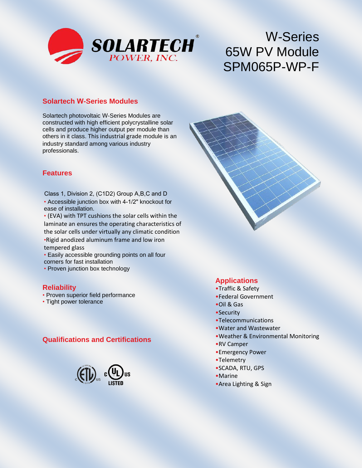

# W-Series 65W PV Module SPM065P-WP-F

#### **Solartech W-Series Modules**

Solartech photovoltaic W-Series Modules are constructed with high efficient polycrystalline solar cells and produce higher output per module than others in it class. This industrial grade module is an industry standard among various industry professionals.

#### **Features**

- Accessible junction box with 4-1/2" knockout for ease of installation. Class 1, Division 2, (C1D2) Group A,B,C and D
- (EVA) with TPT cushions the solar cells within the laminate an ensures the operating characteristics of the solar cells under virtually any climatic condition •Rigid anodized aluminum frame and low iron tempered glass
- Easily accessible grounding points on all four corners for fast installation
- Proven junction box technology

#### **Reliability**

- Proven superior field performance
- Tight power tolerance

#### **Qualifications and Certifications**



#### **Applications**

- •Traffic & Safety
- •Federal Government
- •Oil & Gas
- •Security
- •Telecommunications
- •Water and Wastewater
- •Weather & Environmental Monitoring
- •RV Camper
- •Emergency Power
- •Telemetry
- •SCADA, RTU, GPS
- •Marine
- •Area Lighting & Sign